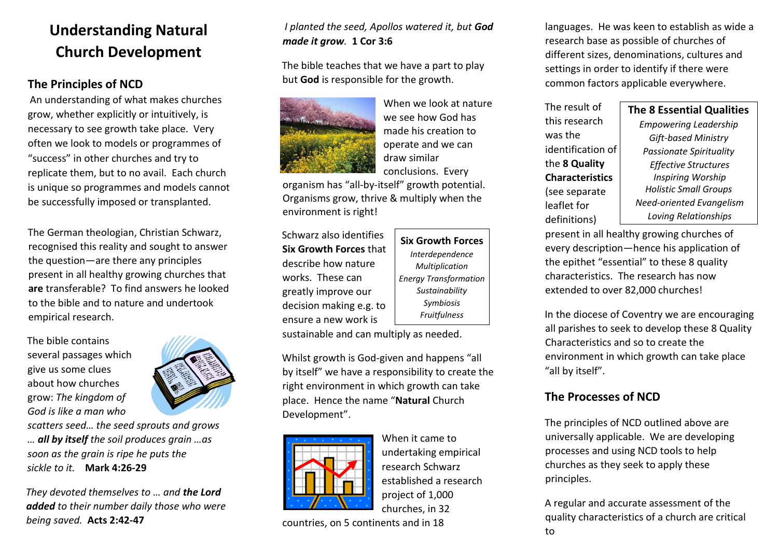## **Understanding Natural Church Development**

## **The Principles of NCD**

An understanding of what makes churches grow, whether explicitly or intuitively, is necessary to see growth take place. Very often we look to models or programmes of "success" in other churches and try to replicate them, but to no avail. Each church is unique so programmes and models cannot be successfully imposed or transplanted.

The German theologian, Christian Schwarz, recognised this reality and sought to answer the question—are there any principles present in all healthy growing churches that **are** transferable? To find answers he looked to the bible and to nature and undertook empirical research.

The bible contains several passages which give us some clues about how churches grow: *The kingdom of God is like a man who* 



*scatters seed… the seed sprouts and grows … all by itself the soil produces grain …as soon as the grain is ripe he puts the sickle to it.* **Mark 4:26-29** 

*They devoted themselves to … and the Lord added to their number daily those who were being saved.* **Acts 2:42-47** 

### *I planted the seed, Apollos watered it, but God made it grow.* **1 Cor 3:6**

The bible teaches that we have a part to play but **God** is responsible for the growth.



When we look at nature we see how God has made his creation to operate and we can draw similar conclusions. Every

organism has "all-by-itself" growth potential. Organisms grow, thrive & multiply when the environment is right!

Schwarz also identifies **Six Growth Forces** that describe how nature works. These can greatly improve our decision making e.g. to ensure a new work is

**Six Growth Forces**  *Interdependence Multiplication Energy Transformation Sustainability Symbiosis Fruitfulness*

sustainable and can multiply as needed.

Whilst growth is God-given and happens "all by itself" we have a responsibility to create the right environment in which growth can take place. Hence the name "**Natural** Church Development".



When it came to undertaking empirical research Schwarz established a research project of 1,000 churches, in 32

countries, on 5 continents and in 18

languages. He was keen to establish as wide a research base as possible of churches of different sizes, denominations, cultures and settings in order to identify if there were common factors applicable everywhere.

The result of this research was the identification of the **8 Quality Characteristics**  (see separate leaflet for definitions)

*Empowering Leadership Gift-based Ministry Passionate Spirituality Effective Structures Inspiring Worship Holistic Small Groups Need-oriented Evangelism Loving Relationships*

**The 8 Essential Qualities** 

present in all healthy growing churches of every description—hence his application of the epithet "essential" to these 8 quality characteristics. The research has now extended to over 82,000 churches!

In the diocese of Coventry we are encouraging all parishes to seek to develop these 8 Quality Characteristics and so to create the environment in which growth can take place "all by itself".

## **The Processes of NCD**

The principles of NCD outlined above are universally applicable. We are developing processes and using NCD tools to help churches as they seek to apply these principles.

A regular and accurate assessment of the quality characteristics of a church are critical to